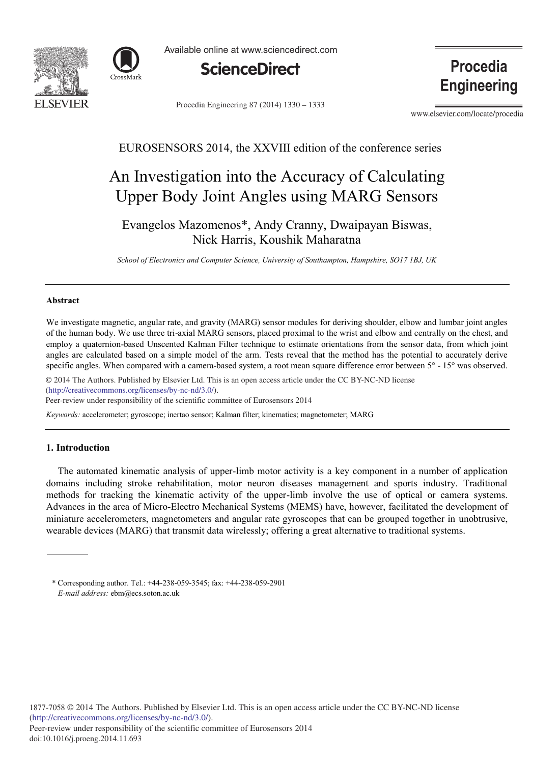



Available online at www.sciencedirect.com



Procedia Engineering 87 (2014) 1330 - 1333

Procedia **Engineering** 

www.elsevier.com/locate/procedia

# EUROSENSORS 2014, the XXVIII edition of the conference series

# An Investigation into the Accuracy of Calculating Upper Body Joint Angles using MARG Sensors

Evangelos Mazomenos\*, Andy Cranny, Dwaipayan Biswas, Nick Harris, Koushik Maharatna

*School of Electronics and Computer Science, University of Southampton, Hampshire, SO17 1BJ, UK*

#### **Abstract**

We investigate magnetic, angular rate, and gravity (MARG) sensor modules for deriving shoulder, elbow and lumbar joint angles of the human body. We use three tri-axial MARG sensors, placed proximal to the wrist and elbow and centrally on the chest, and employ a quaternion-based Unscented Kalman Filter technique to estimate orientations from the sensor data, from which joint angles are calculated based on a simple model of the arm. Tests reveal that the method has the potential to accurately derive specific angles. When compared with a camera-based system, a root mean square difference error between  $5^{\circ}$  - 15° was observed.

© 2014 The Authors. Published by Elsevier Ltd. © 2014 The Authors. Published by Elsevier Ltd. This is an open access article under the CC BY-NC-ND license (http://creativecommons.org/licenses/by-nc-nd/3.0/).

Peer-review under responsibility of the scientific committee of Eurosensors 2014

*Keywords:* accelerometer; gyroscope; inertao sensor; Kalman filter; kinematics; magnetometer; MARG

### **1. Introduction**

The automated kinematic analysis of upper-limb motor activity is a key component in a number of application domains including stroke rehabilitation, motor neuron diseases management and sports industry. Traditional methods for tracking the kinematic activity of the upper-limb involve the use of optical or camera systems. Advances in the area of Micro-Electro Mechanical Systems (MEMS) have, however, facilitated the development of miniature accelerometers, magnetometers and angular rate gyroscopes that can be grouped together in unobtrusive, wearable devices (MARG) that transmit data wirelessly; offering a great alternative to traditional systems.

<sup>\*</sup> Corresponding author. Tel.: +44-238-059-3545; fax: +44-238-059-2901 *E-mail address:* ebm@ecs.soton.ac.uk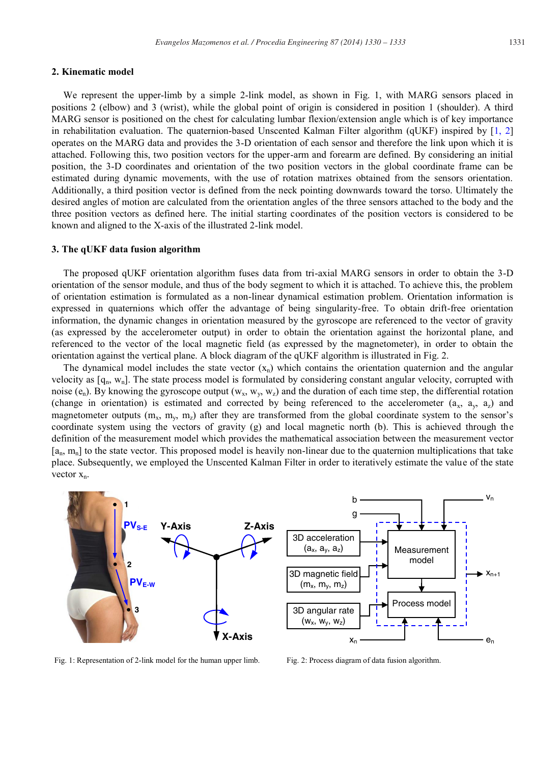#### **2. Kinematic model**

We represent the upper-limb by a simple 2-link model, as shown in Fig. 1, with MARG sensors placed in positions 2 (elbow) and 3 (wrist), while the global point of origin is considered in position 1 (shoulder). A third MARG sensor is positioned on the chest for calculating lumbar flexion/extension angle which is of key importance in rehabilitation evaluation. The quaternion-based Unscented Kalman Filter algorithm (qUKF) inspired by  $[1, 2]$ operates on the MARG data and provides the 3-D orientation of each sensor and therefore the link upon which it is attached. Following this, two position vectors for the upper-arm and forearm are defined. By considering an initial position, the 3-D coordinates and orientation of the two position vectors in the global coordinate frame can be estimated during dynamic movements, with the use of rotation matrixes obtained from the sensors orientation. Additionally, a third position vector is defined from the neck pointing downwards toward the torso. Ultimately the desired angles of motion are calculated from the orientation angles of the three sensors attached to the body and the three position vectors as defined here. The initial starting coordinates of the position vectors is considered to be known and aligned to the X-axis of the illustrated 2-link model.

#### **3. The qUKF data fusion algorithm**

The proposed qUKF orientation algorithm fuses data from tri-axial MARG sensors in order to obtain the 3-D orientation of the sensor module, and thus of the body segment to which it is attached. To achieve this, the problem of orientation estimation is formulated as a non-linear dynamical estimation problem. Orientation information is expressed in quaternions which offer the advantage of being singularity-free. To obtain drift-free orientation information, the dynamic changes in orientation measured by the gyroscope are referenced to the vector of gravity (as expressed by the accelerometer output) in order to obtain the orientation against the horizontal plane, and referenced to the vector of the local magnetic field (as expressed by the magnetometer), in order to obtain the orientation against the vertical plane. A block diagram of the qUKF algorithm is illustrated in Fig. 2.

The dynamical model includes the state vector  $(x_n)$  which contains the orientation quaternion and the angular velocity as  $[q_n, w_n]$ . The state process model is formulated by considering constant angular velocity, corrupted with noise (e<sub>n</sub>). By knowing the gyroscope output (w<sub>x</sub>, w<sub>y</sub>, w<sub>z</sub>) and the duration of each time step, the differential rotation (change in orientation) is estimated and corrected by being referenced to the accelerometer  $(a_x, a_y, a_z)$  and magnetometer outputs  $(m_x, m_y, m_z)$  after they are transformed from the global coordinate system to the sensor's coordinate system using the vectors of gravity (g) and local magnetic north (b). This is achieved through the definition of the measurement model which provides the mathematical association between the measurement vector  $[a_n, m_n]$  to the state vector. This proposed model is heavily non-linear due to the quaternion multiplications that take place. Subsequently, we employed the Unscented Kalman Filter in order to iteratively estimate the value of the state vector  $x_n$ .



Fig. 1: Representation of 2-link model for the human upper limb. Fig. 2: Process diagram of data fusion algorithm.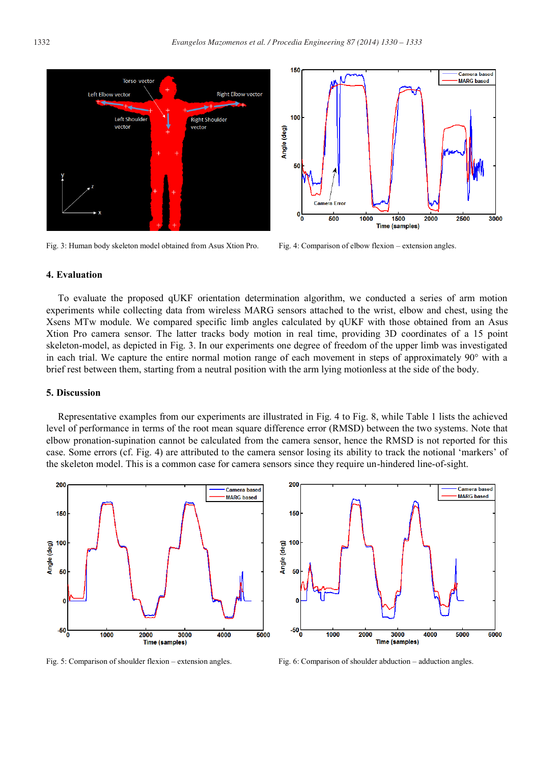150

 $100$ 

50

 $\mathbf{0}^{\mathsf{L}}_{\mathbf{0}}$ 

500



Fig. 3: Human body skeleton model obtained from Asus Xtion Pro. Fig. 4: Comparison of elbow flexion – extension angles.



1000

1500

**Time (samples)** 

2000

2500

3000

Camera based **MADC** based

#### **4. Evaluation**

To evaluate the proposed qUKF orientation determination algorithm, we conducted a series of arm motion experiments while collecting data from wireless MARG sensors attached to the wrist, elbow and chest, using the Xsens MTw module. We compared specific limb angles calculated by qUKF with those obtained from an Asus Xtion Pro camera sensor. The latter tracks body motion in real time, providing 3D coordinates of a 15 point skeleton-model, as depicted in Fig. 3. In our experiments one degree of freedom of the upper limb was investigated in each trial. We capture the entire normal motion range of each movement in steps of approximately 90° with a brief rest between them, starting from a neutral position with the arm lying motionless at the side of the body.

#### **5. Discussion**

Representative examples from our experiments are illustrated in Fig. 4 to Fig. 8, while Table 1 lists the achieved level of performance in terms of the root mean square difference error (RMSD) between the two systems. Note that elbow pronation-supination cannot be calculated from the camera sensor, hence the RMSD is not reported for this case. Some errors (cf. Fig. 4) are attributed to the camera sensor losing its ability to track the notional 'markers' of the skeleton model. This is a common case for camera sensors since they require un-hindered line-of-sight.





Fig. 5: Comparison of shoulder flexion – extension angles. Fig. 6: Comparison of shoulder abduction – adduction angles.